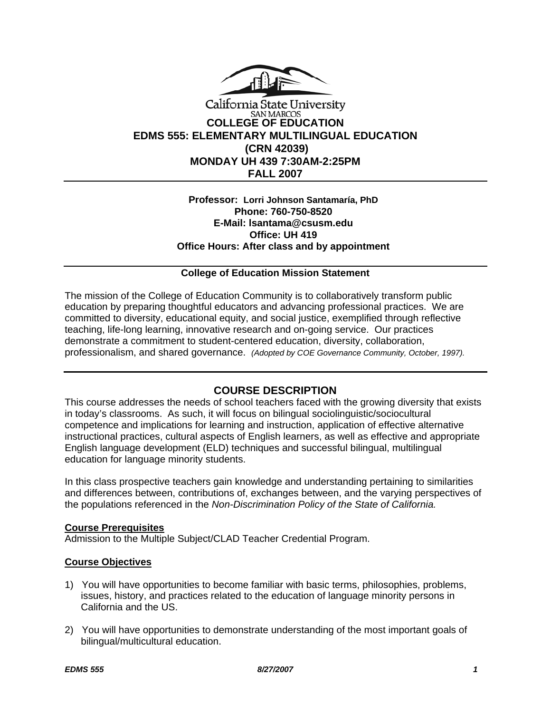

## California State University **SAN MARCOS COLLEGE OF EDUCATION EDMS 555: ELEMENTARY MULTILINGUAL EDUCATION (CRN 42039) MONDAY UH 439 7:30AM-2:25PM FALL 2007**

## **Professor: Lorri Johnson Santamaría, PhD Phone: 760-750-8520 E-Mail: lsantama@csusm.edu Office: UH 419 Office Hours: After class and by appointment**

## **College of Education Mission Statement**

The mission of the College of Education Community is to collaboratively transform public education by preparing thoughtful educators and advancing professional practices. We are committed to diversity, educational equity, and social justice, exemplified through reflective teaching, life-long learning, innovative research and on-going service. Our practices demonstrate a commitment to student-centered education, diversity, collaboration, professionalism, and shared governance. *(Adopted by COE Governance Community, October, 1997).* 

## **COURSE DESCRIPTION**

This course addresses the needs of school teachers faced with the growing diversity that exists in today's classrooms. As such, it will focus on bilingual sociolinguistic/sociocultural competence and implications for learning and instruction, application of effective alternative instructional practices, cultural aspects of English learners, as well as effective and appropriate English language development (ELD) techniques and successful bilingual, multilingual education for language minority students.

In this class prospective teachers gain knowledge and understanding pertaining to similarities and differences between, contributions of, exchanges between, and the varying perspectives of the populations referenced in the *Non-Discrimination Policy of the State of California.*

#### **Course Prerequisites**

Admission to the Multiple Subject/CLAD Teacher Credential Program.

#### **Course Objectives**

- 1) You will have opportunities to become familiar with basic terms, philosophies, problems, issues, history, and practices related to the education of language minority persons in California and the US.
- 2) You will have opportunities to demonstrate understanding of the most important goals of bilingual/multicultural education.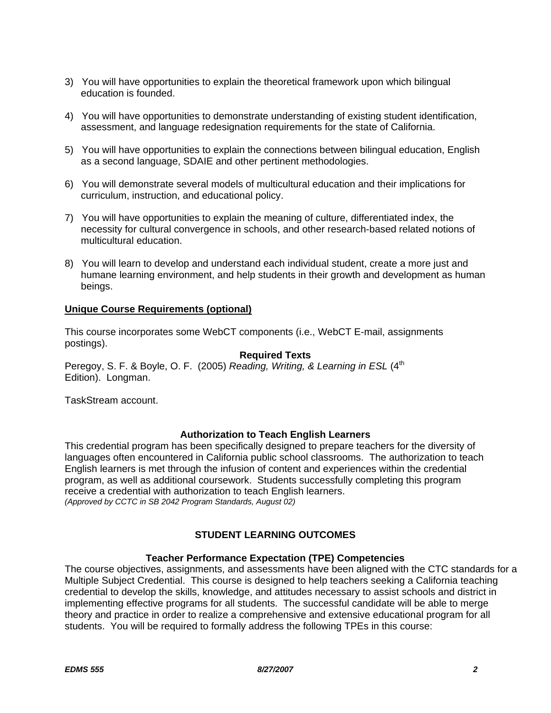- 3) You will have opportunities to explain the theoretical framework upon which bilingual education is founded.
- 4) You will have opportunities to demonstrate understanding of existing student identification, assessment, and language redesignation requirements for the state of California.
- 5) You will have opportunities to explain the connections between bilingual education, English as a second language, SDAIE and other pertinent methodologies.
- 6) You will demonstrate several models of multicultural education and their implications for curriculum, instruction, and educational policy.
- 7) You will have opportunities to explain the meaning of culture, differentiated index, the necessity for cultural convergence in schools, and other research-based related notions of multicultural education.
- 8) You will learn to develop and understand each individual student, create a more just and humane learning environment, and help students in their growth and development as human beings.

## **Unique Course Requirements (optional)**

This course incorporates some WebCT components (i.e., WebCT E-mail, assignments postings).

#### **Required Texts**

Peregoy, S. F. & Boyle, O. F. (2005) *Reading, Writing, & Learning in ESL* (4<sup>th</sup> Edition). Longman.

TaskStream account.

#### **Authorization to Teach English Learners**

This credential program has been specifically designed to prepare teachers for the diversity of languages often encountered in California public school classrooms. The authorization to teach English learners is met through the infusion of content and experiences within the credential program, as well as additional coursework. Students successfully completing this program receive a credential with authorization to teach English learners. *(Approved by CCTC in SB 2042 Program Standards, August 02)*

## **STUDENT LEARNING OUTCOMES**

#### **Teacher Performance Expectation (TPE) Competencies**

The course objectives, assignments, and assessments have been aligned with the CTC standards for a Multiple Subject Credential. This course is designed to help teachers seeking a California teaching credential to develop the skills, knowledge, and attitudes necessary to assist schools and district in implementing effective programs for all students. The successful candidate will be able to merge theory and practice in order to realize a comprehensive and extensive educational program for all students. You will be required to formally address the following TPEs in this course: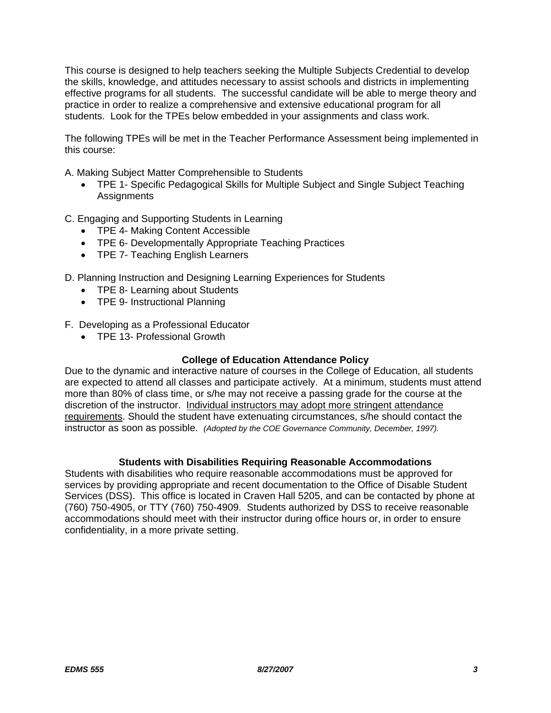This course is designed to help teachers seeking the Multiple Subjects Credential to develop the skills, knowledge, and attitudes necessary to assist schools and districts in implementing effective programs for all students. The successful candidate will be able to merge theory and practice in order to realize a comprehensive and extensive educational program for all students. Look for the TPEs below embedded in your assignments and class work.

The following TPEs will be met in the Teacher Performance Assessment being implemented in this course:

A. Making Subject Matter Comprehensible to Students

• TPE 1- Specific Pedagogical Skills for Multiple Subject and Single Subject Teaching **Assignments** 

C. Engaging and Supporting Students in Learning

- TPE 4- Making Content Accessible
- TPE 6- Developmentally Appropriate Teaching Practices
- TPE 7- Teaching English Learners

D. Planning Instruction and Designing Learning Experiences for Students

- TPE 8- Learning about Students
- TPE 9- Instructional Planning

F. Developing as a Professional Educator

• TPE 13- Professional Growth

#### **College of Education Attendance Policy**

Due to the dynamic and interactive nature of courses in the College of Education, all students are expected to attend all classes and participate actively. At a minimum, students must attend more than 80% of class time, or s/he may not receive a passing grade for the course at the discretion of the instructor. Individual instructors may adopt more stringent attendance requirements. Should the student have extenuating circumstances, s/he should contact the instructor as soon as possible. *(Adopted by the COE Governance Community, December, 1997).*

#### **Students with Disabilities Requiring Reasonable Accommodations**

Students with disabilities who require reasonable accommodations must be approved for services by providing appropriate and recent documentation to the Office of Disable Student Services (DSS). This office is located in Craven Hall 5205, and can be contacted by phone at (760) 750-4905, or TTY (760) 750-4909. Students authorized by DSS to receive reasonable accommodations should meet with their instructor during office hours or, in order to ensure confidentiality, in a more private setting.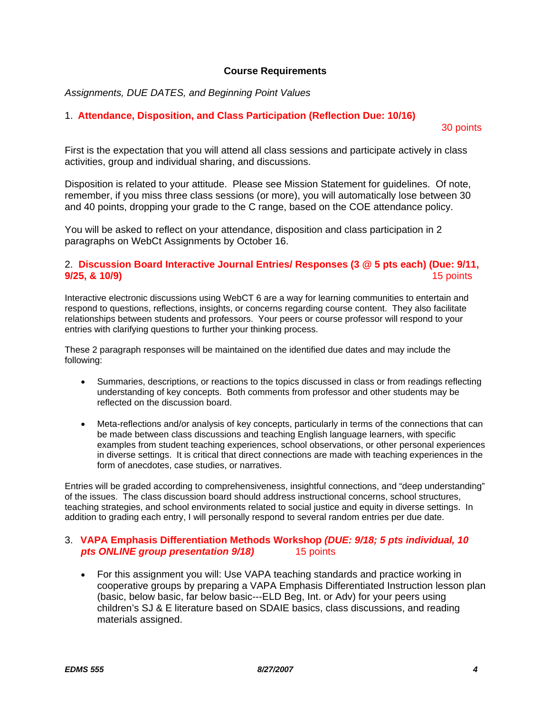#### **Course Requirements**

*Assignments, DUE DATES, and Beginning Point Values* 

## 1. **Attendance, Disposition, and Class Participation (Reflection Due: 10/16)**

## 30 points

First is the expectation that you will attend all class sessions and participate actively in class activities, group and individual sharing, and discussions.

Disposition is related to your attitude. Please see Mission Statement for guidelines. Of note, remember, if you miss three class sessions (or more), you will automatically lose between 30 and 40 points, dropping your grade to the C range, based on the COE attendance policy.

You will be asked to reflect on your attendance, disposition and class participation in 2 paragraphs on WebCt Assignments by October 16.

## 2. **Discussion Board Interactive Journal Entries/ Responses (3 @ 5 pts each) (Due: 9/11, 9/25, & 10/9)** 15 points

Interactive electronic discussions using WebCT 6 are a way for learning communities to entertain and respond to questions, reflections, insights, or concerns regarding course content. They also facilitate relationships between students and professors. Your peers or course professor will respond to your entries with clarifying questions to further your thinking process.

These 2 paragraph responses will be maintained on the identified due dates and may include the following:

- Summaries, descriptions, or reactions to the topics discussed in class or from readings reflecting understanding of key concepts. Both comments from professor and other students may be reflected on the discussion board.
- Meta-reflections and/or analysis of key concepts, particularly in terms of the connections that can be made between class discussions and teaching English language learners, with specific examples from student teaching experiences, school observations, or other personal experiences in diverse settings. It is critical that direct connections are made with teaching experiences in the form of anecdotes, case studies, or narratives.

Entries will be graded according to comprehensiveness, insightful connections, and "deep understanding" of the issues. The class discussion board should address instructional concerns, school structures, teaching strategies, and school environments related to social justice and equity in diverse settings. In addition to grading each entry, I will personally respond to several random entries per due date.

## 3. **VAPA Emphasis Differentiation Methods Workshop** *(DUE: 9/18; 5 pts individual, 10 pts ONLINE group presentation 9/18)* 15 points

• For this assignment you will: Use VAPA teaching standards and practice working in cooperative groups by preparing a VAPA Emphasis Differentiated Instruction lesson plan (basic, below basic, far below basic---ELD Beg, Int. or Adv) for your peers using children's SJ & E literature based on SDAIE basics, class discussions, and reading materials assigned.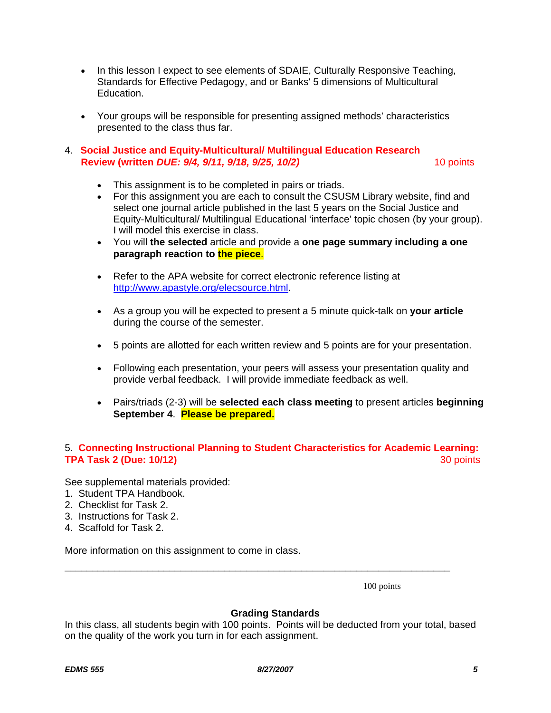- In this lesson I expect to see elements of SDAIE, Culturally Responsive Teaching, Standards for Effective Pedagogy, and or Banks' 5 dimensions of Multicultural Education.
- Your groups will be responsible for presenting assigned methods' characteristics presented to the class thus far.

## 4. **Social Justice and Equity-Multicultural/ Multilingual Education Research Review (written** *DUE: 9/4, 9/11, 9/18, 9/25, 10/2)* **10 points <b>10 points**

- This assignment is to be completed in pairs or triads.
- For this assignment you are each to consult the CSUSM Library website, find and select one journal article published in the last 5 years on the Social Justice and Equity-Multicultural/ Multilingual Educational 'interface' topic chosen (by your group). I will model this exercise in class.
- You will **the selected** article and provide a **one page summary including a one paragraph reaction to the piece**.
- Refer to the APA website for correct electronic reference listing at http://www.apastyle.org/elecsource.html.
- As a group you will be expected to present a 5 minute quick-talk on **your article** during the course of the semester.
- 5 points are allotted for each written review and 5 points are for your presentation.
- Following each presentation, your peers will assess your presentation quality and provide verbal feedback. I will provide immediate feedback as well.
- Pairs/triads (2-3) will be **selected each class meeting** to present articles **beginning September 4**. **Please be prepared.**

## 5. **Connecting Instructional Planning to Student Characteristics for Academic Learning: TPA Task 2 (Due: 10/12)** 30 points

See supplemental materials provided:

- 1. Student TPA Handbook.
- 2. Checklist for Task 2.
- 3. Instructions for Task 2.
- 4. Scaffold for Task 2.

More information on this assignment to come in class.

100 points

#### **Grading Standards**

In this class, all students begin with 100 points. Points will be deducted from your total, based on the quality of the work you turn in for each assignment.

\_\_\_\_\_\_\_\_\_\_\_\_\_\_\_\_\_\_\_\_\_\_\_\_\_\_\_\_\_\_\_\_\_\_\_\_\_\_\_\_\_\_\_\_\_\_\_\_\_\_\_\_\_\_\_\_\_\_\_\_\_\_\_\_\_\_\_\_\_\_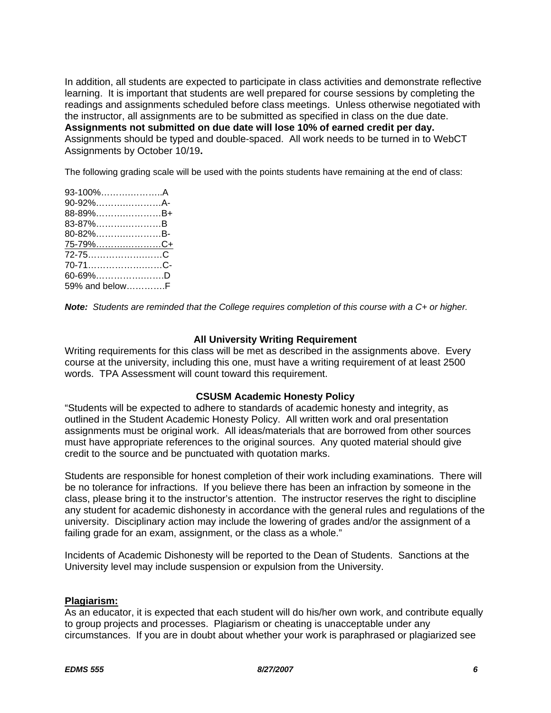In addition, all students are expected to participate in class activities and demonstrate reflective learning. It is important that students are well prepared for course sessions by completing the readings and assignments scheduled before class meetings. Unless otherwise negotiated with the instructor, all assignments are to be submitted as specified in class on the due date. **Assignments not submitted on due date will lose 10% of earned credit per day.** Assignments should be typed and double-spaced. All work needs to be turned in to WebCT Assignments by October 10/19**.**

The following grading scale will be used with the points students have remaining at the end of class:

| 90-92%A-<br>88-89%B+<br>83-87%B<br>80-82%B-<br><u>75-79%C+</u><br>72-75C<br>70-71C-<br>$60 - 69\%$ D<br>59% and belowF | 93-100%A |  |
|------------------------------------------------------------------------------------------------------------------------|----------|--|
|                                                                                                                        |          |  |
|                                                                                                                        |          |  |
|                                                                                                                        |          |  |
|                                                                                                                        |          |  |
|                                                                                                                        |          |  |
|                                                                                                                        |          |  |
|                                                                                                                        |          |  |
|                                                                                                                        |          |  |
|                                                                                                                        |          |  |

*Note: Students are reminded that the College requires completion of this course with a C+ or higher.*

#### **All University Writing Requirement**

Writing requirements for this class will be met as described in the assignments above. Every course at the university, including this one, must have a writing requirement of at least 2500 words. TPA Assessment will count toward this requirement.

#### **CSUSM Academic Honesty Policy**

"Students will be expected to adhere to standards of academic honesty and integrity, as outlined in the Student Academic Honesty Policy. All written work and oral presentation assignments must be original work. All ideas/materials that are borrowed from other sources must have appropriate references to the original sources. Any quoted material should give credit to the source and be punctuated with quotation marks.

Students are responsible for honest completion of their work including examinations. There will be no tolerance for infractions. If you believe there has been an infraction by someone in the class, please bring it to the instructor's attention. The instructor reserves the right to discipline any student for academic dishonesty in accordance with the general rules and regulations of the university. Disciplinary action may include the lowering of grades and/or the assignment of a failing grade for an exam, assignment, or the class as a whole."

Incidents of Academic Dishonesty will be reported to the Dean of Students. Sanctions at the University level may include suspension or expulsion from the University.

#### **Plagiarism:**

As an educator, it is expected that each student will do his/her own work, and contribute equally to group projects and processes. Plagiarism or cheating is unacceptable under any circumstances. If you are in doubt about whether your work is paraphrased or plagiarized see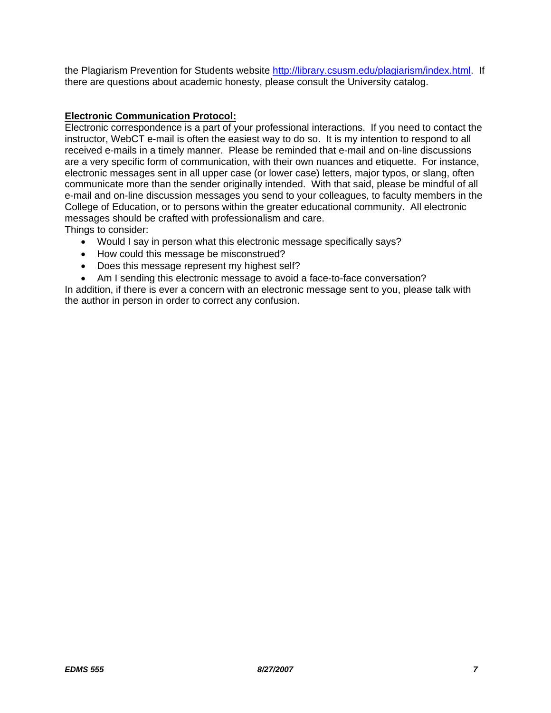the Plagiarism Prevention for Students website http://library.csusm.edu/plagiarism/index.html. If there are questions about academic honesty, please consult the University catalog.

## **Electronic Communication Protocol:**

Electronic correspondence is a part of your professional interactions. If you need to contact the instructor, WebCT e-mail is often the easiest way to do so. It is my intention to respond to all received e-mails in a timely manner. Please be reminded that e-mail and on-line discussions are a very specific form of communication, with their own nuances and etiquette. For instance, electronic messages sent in all upper case (or lower case) letters, major typos, or slang, often communicate more than the sender originally intended. With that said, please be mindful of all e-mail and on-line discussion messages you send to your colleagues, to faculty members in the College of Education, or to persons within the greater educational community. All electronic messages should be crafted with professionalism and care. Things to consider:

- Would I say in person what this electronic message specifically says?
- How could this message be misconstrued?
- Does this message represent my highest self?
- Am I sending this electronic message to avoid a face-to-face conversation?

In addition, if there is ever a concern with an electronic message sent to you, please talk with the author in person in order to correct any confusion.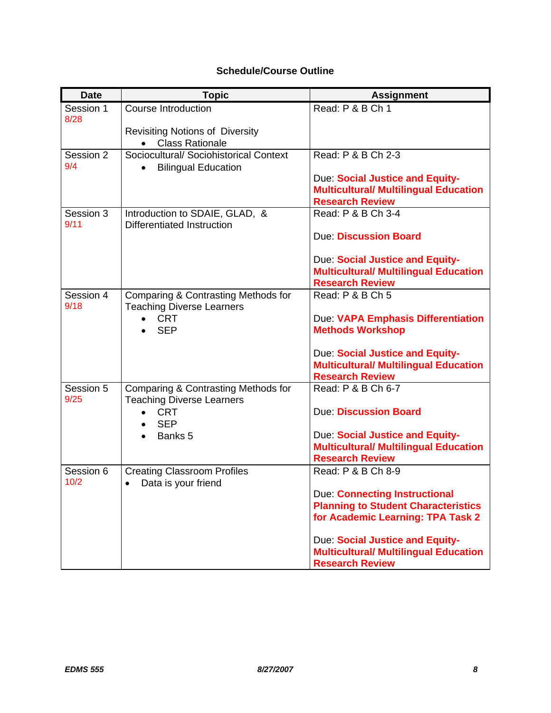# **Schedule/Course Outline**

| <b>Date</b>       | <b>Topic</b>                                                            | <b>Assignment</b>                                                               |
|-------------------|-------------------------------------------------------------------------|---------------------------------------------------------------------------------|
| Session 1<br>8/28 | Course Introduction                                                     | Read: P & B Ch 1                                                                |
|                   | <b>Revisiting Notions of Diversity</b>                                  |                                                                                 |
|                   | <b>Class Rationale</b><br>$\bullet$                                     |                                                                                 |
| Session 2         | Sociocultural/ Sociohistorical Context                                  | Read: P & B Ch 2-3                                                              |
| 9/4               | <b>Bilingual Education</b>                                              |                                                                                 |
|                   |                                                                         | Due: Social Justice and Equity-<br><b>Multicultural/ Multilingual Education</b> |
|                   |                                                                         | <b>Research Review</b>                                                          |
| Session 3<br>9/11 | Introduction to SDAIE, GLAD, &<br><b>Differentiated Instruction</b>     | Read: P & B Ch 3-4                                                              |
|                   |                                                                         | <b>Due Discussion Board</b>                                                     |
|                   |                                                                         | Due: Social Justice and Equity-                                                 |
|                   |                                                                         | <b>Multicultural/ Multilingual Education</b>                                    |
|                   |                                                                         | <b>Research Review</b>                                                          |
| Session 4<br>9/18 | Comparing & Contrasting Methods for<br><b>Teaching Diverse Learners</b> | Read: P & B Ch 5                                                                |
|                   | <b>CRT</b>                                                              | Due: VAPA Emphasis Differentiation                                              |
|                   | <b>SEP</b>                                                              | <b>Methods Workshop</b>                                                         |
|                   |                                                                         | Due: Social Justice and Equity-                                                 |
|                   |                                                                         | <b>Multicultural/ Multilingual Education</b>                                    |
|                   |                                                                         | <b>Research Review</b>                                                          |
| Session 5<br>9/25 | Comparing & Contrasting Methods for<br><b>Teaching Diverse Learners</b> | Read: P & B Ch 6-7                                                              |
|                   | <b>CRT</b><br><b>SEP</b>                                                | <b>Due: Discussion Board</b>                                                    |
|                   | Banks 5                                                                 | Due: Social Justice and Equity-                                                 |
|                   |                                                                         | <b>Multicultural/ Multilingual Education</b>                                    |
| Session 6         | <b>Creating Classroom Profiles</b>                                      | <b>Research Review</b><br>Read: P & B Ch 8-9                                    |
| 10/2              | Data is your friend<br>$\bullet$                                        |                                                                                 |
|                   |                                                                         | <b>Due: Connecting Instructional</b>                                            |
|                   |                                                                         | <b>Planning to Student Characteristics</b>                                      |
|                   |                                                                         | for Academic Learning: TPA Task 2                                               |
|                   |                                                                         | Due: Social Justice and Equity-                                                 |
|                   |                                                                         | <b>Multicultural/ Multilingual Education</b>                                    |
|                   |                                                                         | <b>Research Review</b>                                                          |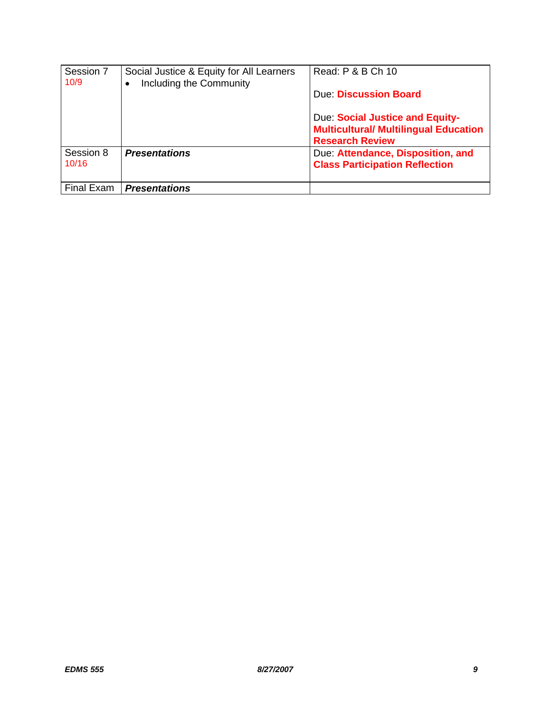| Session 7<br>10/9 | Social Justice & Equity for All Learners<br>Including the Community<br>$\bullet$ | Read: P & B Ch 10                            |
|-------------------|----------------------------------------------------------------------------------|----------------------------------------------|
|                   |                                                                                  | Due: Discussion Board                        |
|                   |                                                                                  | Due: Social Justice and Equity-              |
|                   |                                                                                  | <b>Multicultural/ Multilingual Education</b> |
|                   |                                                                                  | <b>Research Review</b>                       |
| Session 8         | <b>Presentations</b>                                                             | Due: Attendance, Disposition, and            |
| 10/16             |                                                                                  | <b>Class Participation Reflection</b>        |
| Final Exam        | <b>Presentations</b>                                                             |                                              |